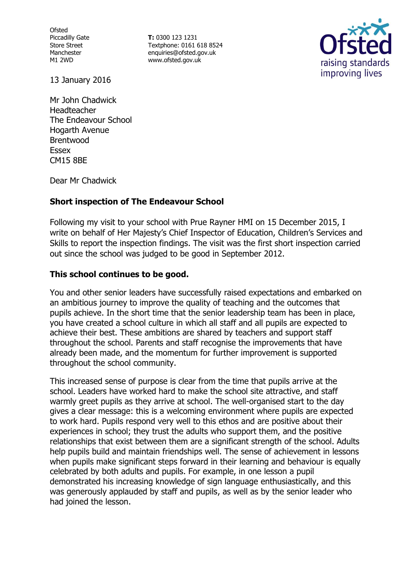Ofsted Piccadilly Gate Store Street Manchester M1 2WD

**T:** 0300 123 1231 Textphone: 0161 618 8524 enquiries@ofsted.gov.uk www.ofsted.gov.uk



13 January 2016

Mr John Chadwick Headteacher The Endeavour School Hogarth Avenue Brentwood Essex CM15 8BE

Dear Mr Chadwick

# **Short inspection of The Endeavour School**

Following my visit to your school with Prue Rayner HMI on 15 December 2015, I write on behalf of Her Majesty's Chief Inspector of Education, Children's Services and Skills to report the inspection findings. The visit was the first short inspection carried out since the school was judged to be good in September 2012.

# **This school continues to be good.**

You and other senior leaders have successfully raised expectations and embarked on an ambitious journey to improve the quality of teaching and the outcomes that pupils achieve. In the short time that the senior leadership team has been in place, you have created a school culture in which all staff and all pupils are expected to achieve their best. These ambitions are shared by teachers and support staff throughout the school. Parents and staff recognise the improvements that have already been made, and the momentum for further improvement is supported throughout the school community.

This increased sense of purpose is clear from the time that pupils arrive at the school. Leaders have worked hard to make the school site attractive, and staff warmly greet pupils as they arrive at school. The well-organised start to the day gives a clear message: this is a welcoming environment where pupils are expected to work hard. Pupils respond very well to this ethos and are positive about their experiences in school; they trust the adults who support them, and the positive relationships that exist between them are a significant strength of the school. Adults help pupils build and maintain friendships well. The sense of achievement in lessons when pupils make significant steps forward in their learning and behaviour is equally celebrated by both adults and pupils. For example, in one lesson a pupil demonstrated his increasing knowledge of sign language enthusiastically, and this was generously applauded by staff and pupils, as well as by the senior leader who had joined the lesson.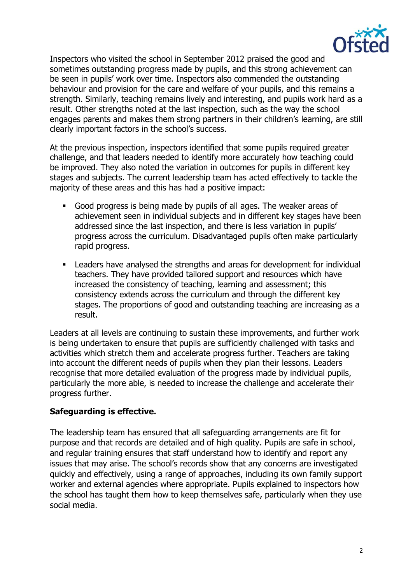

Inspectors who visited the school in September 2012 praised the good and sometimes outstanding progress made by pupils, and this strong achievement can be seen in pupils' work over time. Inspectors also commended the outstanding behaviour and provision for the care and welfare of your pupils, and this remains a strength. Similarly, teaching remains lively and interesting, and pupils work hard as a result. Other strengths noted at the last inspection, such as the way the school engages parents and makes them strong partners in their children's learning, are still clearly important factors in the school's success.

At the previous inspection, inspectors identified that some pupils required greater challenge, and that leaders needed to identify more accurately how teaching could be improved. They also noted the variation in outcomes for pupils in different key stages and subjects. The current leadership team has acted effectively to tackle the majority of these areas and this has had a positive impact:

- Good progress is being made by pupils of all ages. The weaker areas of achievement seen in individual subjects and in different key stages have been addressed since the last inspection, and there is less variation in pupils' progress across the curriculum. Disadvantaged pupils often make particularly rapid progress.
- Leaders have analysed the strengths and areas for development for individual teachers. They have provided tailored support and resources which have increased the consistency of teaching, learning and assessment; this consistency extends across the curriculum and through the different key stages. The proportions of good and outstanding teaching are increasing as a result.

Leaders at all levels are continuing to sustain these improvements, and further work is being undertaken to ensure that pupils are sufficiently challenged with tasks and activities which stretch them and accelerate progress further. Teachers are taking into account the different needs of pupils when they plan their lessons. Leaders recognise that more detailed evaluation of the progress made by individual pupils, particularly the more able, is needed to increase the challenge and accelerate their progress further.

### **Safeguarding is effective.**

The leadership team has ensured that all safeguarding arrangements are fit for purpose and that records are detailed and of high quality. Pupils are safe in school, and regular training ensures that staff understand how to identify and report any issues that may arise. The school's records show that any concerns are investigated quickly and effectively, using a range of approaches, including its own family support worker and external agencies where appropriate. Pupils explained to inspectors how the school has taught them how to keep themselves safe, particularly when they use social media.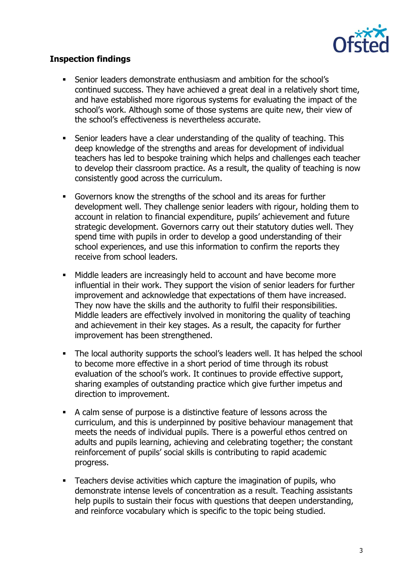

## **Inspection findings**

- Senior leaders demonstrate enthusiasm and ambition for the school's continued success. They have achieved a great deal in a relatively short time, and have established more rigorous systems for evaluating the impact of the school's work. Although some of those systems are quite new, their view of the school's effectiveness is nevertheless accurate.
- Senior leaders have a clear understanding of the quality of teaching. This deep knowledge of the strengths and areas for development of individual teachers has led to bespoke training which helps and challenges each teacher to develop their classroom practice. As a result, the quality of teaching is now consistently good across the curriculum.
- Governors know the strengths of the school and its areas for further development well. They challenge senior leaders with rigour, holding them to account in relation to financial expenditure, pupils' achievement and future strategic development. Governors carry out their statutory duties well. They spend time with pupils in order to develop a good understanding of their school experiences, and use this information to confirm the reports they receive from school leaders.
- Middle leaders are increasingly held to account and have become more influential in their work. They support the vision of senior leaders for further improvement and acknowledge that expectations of them have increased. They now have the skills and the authority to fulfil their responsibilities. Middle leaders are effectively involved in monitoring the quality of teaching and achievement in their key stages. As a result, the capacity for further improvement has been strengthened.
- The local authority supports the school's leaders well. It has helped the school to become more effective in a short period of time through its robust evaluation of the school's work. It continues to provide effective support, sharing examples of outstanding practice which give further impetus and direction to improvement.
- A calm sense of purpose is a distinctive feature of lessons across the curriculum, and this is underpinned by positive behaviour management that meets the needs of individual pupils. There is a powerful ethos centred on adults and pupils learning, achieving and celebrating together; the constant reinforcement of pupils' social skills is contributing to rapid academic progress.
- **EXEC** Teachers devise activities which capture the imagination of pupils, who demonstrate intense levels of concentration as a result. Teaching assistants help pupils to sustain their focus with questions that deepen understanding, and reinforce vocabulary which is specific to the topic being studied.